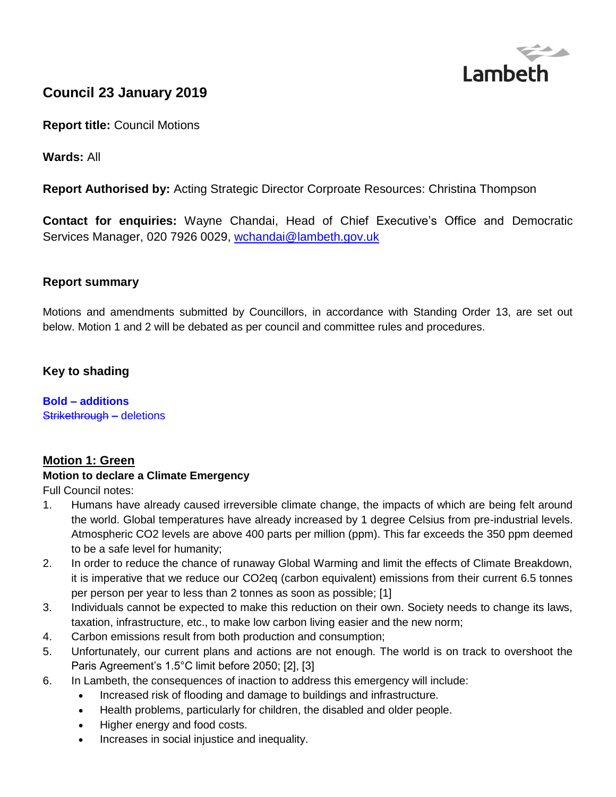

# **Council 23 January 2019**

**Report title:** Council Motions

**Wards:** All

**Report Authorised by:** Acting Strategic Director Corproate Resources: Christina Thompson

**Contact for enquiries:** Wayne Chandai, Head of Chief Executive's Office and Democratic Services Manager, 020 7926 0029, [wchandai@lambeth.gov.uk](mailto:wchandai@lambeth.gov.uk)

## **Report summary**

Motions and amendments submitted by Councillors, in accordance with Standing Order 13, are set out below. Motion 1 and 2 will be debated as per council and committee rules and procedures.

## **Key to shading**

**Bold – additions**  Strikethrough **–** deletions

#### **Motion 1: Green**

#### **Motion to declare a Climate Emergency**

Full Council notes:

- 1. Humans have already caused irreversible climate change, the impacts of which are being felt around the world. Global temperatures have already increased by 1 degree Celsius from pre-industrial levels. Atmospheric CO2 levels are above 400 parts per million (ppm). This far exceeds the 350 ppm deemed to be a safe level for humanity;
- 2. In order to reduce the chance of runaway Global Warming and limit the effects of Climate Breakdown, it is imperative that we reduce our CO2eq (carbon equivalent) emissions from their current 6.5 tonnes per person per year to less than 2 tonnes as soon as possible; [1]
- 3. Individuals cannot be expected to make this reduction on their own. Society needs to change its laws, taxation, infrastructure, etc., to make low carbon living easier and the new norm;
- 4. Carbon emissions result from both production and consumption;
- 5. Unfortunately, our current plans and actions are not enough. The world is on track to overshoot the Paris Agreement's 1.5°C limit before 2050; [2], [3]
- 6. In Lambeth, the consequences of inaction to address this emergency will include:
	- Increased risk of flooding and damage to buildings and infrastructure.
	- Health problems, particularly for children, the disabled and older people.
	- Higher energy and food costs.
	- Increases in social injustice and inequality.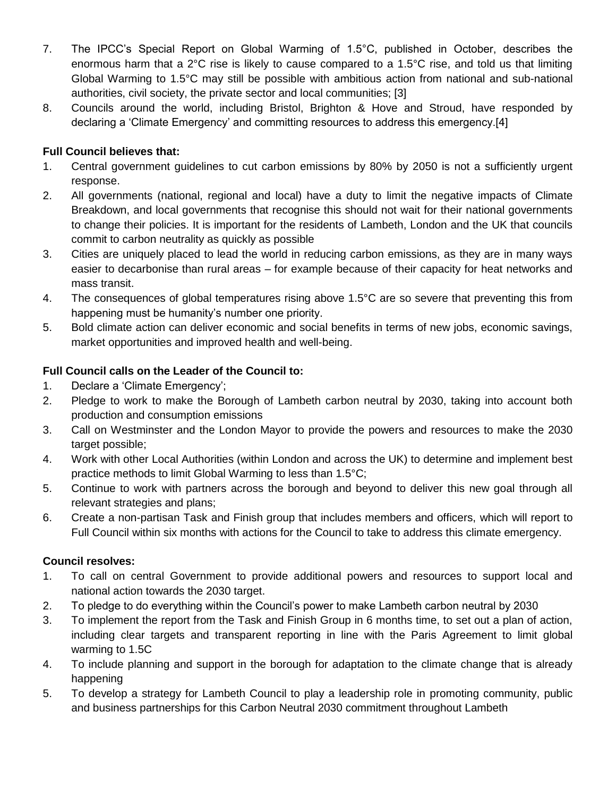- 7. The IPCC's Special Report on Global Warming of 1.5°C, published in October, describes the enormous harm that a 2°C rise is likely to cause compared to a 1.5°C rise, and told us that limiting Global Warming to 1.5°C may still be possible with ambitious action from national and sub-national authorities, civil society, the private sector and local communities; [3]
- 8. Councils around the world, including Bristol, Brighton & Hove and Stroud, have responded by declaring a 'Climate Emergency' and committing resources to address this emergency.[4]

## **Full Council believes that:**

- 1. Central government guidelines to cut carbon emissions by 80% by 2050 is not a sufficiently urgent response.
- 2. All governments (national, regional and local) have a duty to limit the negative impacts of Climate Breakdown, and local governments that recognise this should not wait for their national governments to change their policies. It is important for the residents of Lambeth, London and the UK that councils commit to carbon neutrality as quickly as possible
- 3. Cities are uniquely placed to lead the world in reducing carbon emissions, as they are in many ways easier to decarbonise than rural areas – for example because of their capacity for heat networks and mass transit.
- 4. The consequences of global temperatures rising above 1.5°C are so severe that preventing this from happening must be humanity's number one priority.
- 5. Bold climate action can deliver economic and social benefits in terms of new jobs, economic savings, market opportunities and improved health and well-being.

## **Full Council calls on the Leader of the Council to:**

- 1. Declare a 'Climate Emergency';
- 2. Pledge to work to make the Borough of Lambeth carbon neutral by 2030, taking into account both production and consumption emissions
- 3. Call on Westminster and the London Mayor to provide the powers and resources to make the 2030 target possible;
- 4. Work with other Local Authorities (within London and across the UK) to determine and implement best practice methods to limit Global Warming to less than 1.5°C;
- 5. Continue to work with partners across the borough and beyond to deliver this new goal through all relevant strategies and plans;
- 6. Create a non-partisan Task and Finish group that includes members and officers, which will report to Full Council within six months with actions for the Council to take to address this climate emergency.

## **Council resolves:**

- 1. To call on central Government to provide additional powers and resources to support local and national action towards the 2030 target.
- 2. To pledge to do everything within the Council's power to make Lambeth carbon neutral by 2030
- 3. To implement the report from the Task and Finish Group in 6 months time, to set out a plan of action, including clear targets and transparent reporting in line with the Paris Agreement to limit global warming to 1.5C
- 4. To include planning and support in the borough for adaptation to the climate change that is already happening
- 5. To develop a strategy for Lambeth Council to play a leadership role in promoting community, public and business partnerships for this Carbon Neutral 2030 commitment throughout Lambeth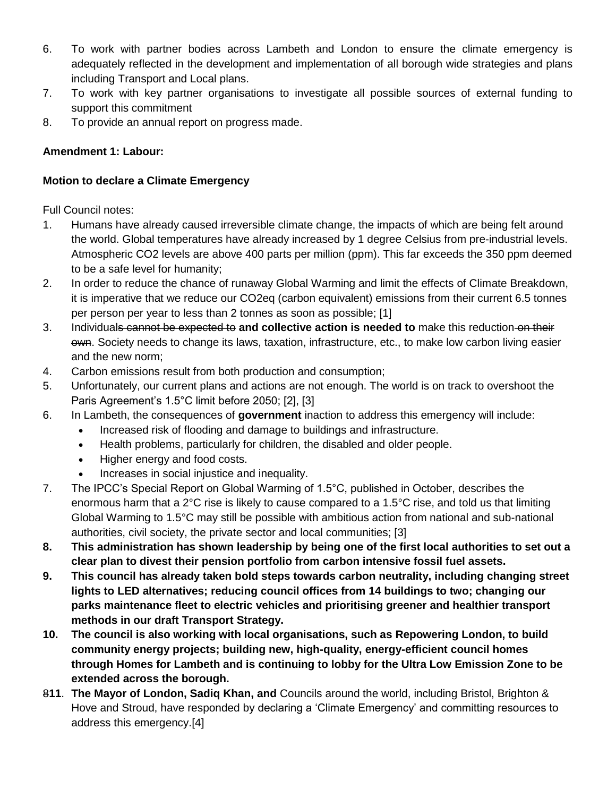- 6. To work with partner bodies across Lambeth and London to ensure the climate emergency is adequately reflected in the development and implementation of all borough wide strategies and plans including Transport and Local plans.
- 7. To work with key partner organisations to investigate all possible sources of external funding to support this commitment
- 8. To provide an annual report on progress made.

## **Amendment 1: Labour:**

#### **Motion to declare a Climate Emergency**

Full Council notes:

- 1. Humans have already caused irreversible climate change, the impacts of which are being felt around the world. Global temperatures have already increased by 1 degree Celsius from pre-industrial levels. Atmospheric CO2 levels are above 400 parts per million (ppm). This far exceeds the 350 ppm deemed to be a safe level for humanity;
- 2. In order to reduce the chance of runaway Global Warming and limit the effects of Climate Breakdown, it is imperative that we reduce our CO2eq (carbon equivalent) emissions from their current 6.5 tonnes per person per year to less than 2 tonnes as soon as possible; [1]
- 3. Individuals cannot be expected to **and collective action is needed to** make this reduction on their own. Society needs to change its laws, taxation, infrastructure, etc., to make low carbon living easier and the new norm;
- 4. Carbon emissions result from both production and consumption;
- 5. Unfortunately, our current plans and actions are not enough. The world is on track to overshoot the Paris Agreement's 1.5°C limit before 2050; [2], [3]
- 6. In Lambeth, the consequences of **government** inaction to address this emergency will include:
	- Increased risk of flooding and damage to buildings and infrastructure.
	- Health problems, particularly for children, the disabled and older people.
	- Higher energy and food costs.
	- Increases in social injustice and inequality.
- 7. The IPCC's Special Report on Global Warming of 1.5°C, published in October, describes the enormous harm that a  $2^{\circ}$ C rise is likely to cause compared to a 1.5 $^{\circ}$ C rise, and told us that limiting Global Warming to 1.5°C may still be possible with ambitious action from national and sub-national authorities, civil society, the private sector and local communities; [3]
- **8. This administration has shown leadership by being one of the first local authorities to set out a clear plan to divest their pension portfolio from carbon intensive fossil fuel assets.**
- **9. This council has already taken bold steps towards carbon neutrality, including changing street lights to LED alternatives; reducing council offices from 14 buildings to two; changing our parks maintenance fleet to electric vehicles and prioritising greener and healthier transport methods in our draft Transport Strategy.**
- **10. The council is also working with local organisations, such as Repowering London, to build community energy projects; building new, high-quality, energy-efficient council homes through Homes for Lambeth and is continuing to lobby for the Ultra Low Emission Zone to be extended across the borough.**
- 8**11**. **The Mayor of London, Sadiq Khan, and** Councils around the world, including Bristol, Brighton & Hove and Stroud, have responded by declaring a 'Climate Emergency' and committing resources to address this emergency.[4]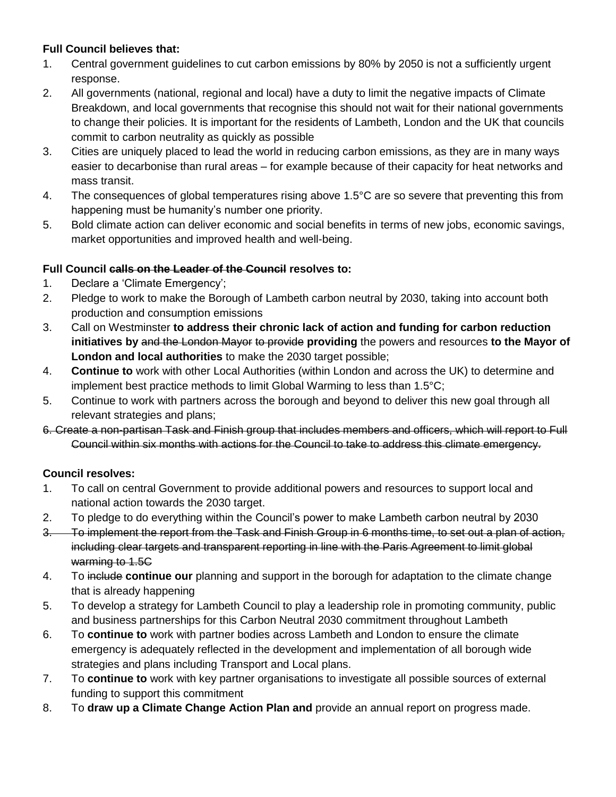## **Full Council believes that:**

- 1. Central government guidelines to cut carbon emissions by 80% by 2050 is not a sufficiently urgent response.
- 2. All governments (national, regional and local) have a duty to limit the negative impacts of Climate Breakdown, and local governments that recognise this should not wait for their national governments to change their policies. It is important for the residents of Lambeth, London and the UK that councils commit to carbon neutrality as quickly as possible
- 3. Cities are uniquely placed to lead the world in reducing carbon emissions, as they are in many ways easier to decarbonise than rural areas – for example because of their capacity for heat networks and mass transit.
- 4. The consequences of global temperatures rising above 1.5°C are so severe that preventing this from happening must be humanity's number one priority.
- 5. Bold climate action can deliver economic and social benefits in terms of new jobs, economic savings, market opportunities and improved health and well-being.

## **Full Council calls on the Leader of the Council resolves to:**

- 1. Declare a 'Climate Emergency';
- 2. Pledge to work to make the Borough of Lambeth carbon neutral by 2030, taking into account both production and consumption emissions
- 3. Call on Westminster **to address their chronic lack of action and funding for carbon reduction initiatives by** and the London Mayor to provide **providing** the powers and resources **to the Mayor of London and local authorities** to make the 2030 target possible;
- 4. **Continue to** work with other Local Authorities (within London and across the UK) to determine and implement best practice methods to limit Global Warming to less than 1.5°C;
- 5. Continue to work with partners across the borough and beyond to deliver this new goal through all relevant strategies and plans;
- 6. Create a non-partisan Task and Finish group that includes members and officers, which will report to Full Council within six months with actions for the Council to take to address this climate emergency.

## **Council resolves:**

- 1. To call on central Government to provide additional powers and resources to support local and national action towards the 2030 target.
- 2. To pledge to do everything within the Council's power to make Lambeth carbon neutral by 2030
- 3. To implement the report from the Task and Finish Group in 6 months time, to set out a plan of action, including clear targets and transparent reporting in line with the Paris Agreement to limit global warming to 1.5C
- 4. To include **continue our** planning and support in the borough for adaptation to the climate change that is already happening
- 5. To develop a strategy for Lambeth Council to play a leadership role in promoting community, public and business partnerships for this Carbon Neutral 2030 commitment throughout Lambeth
- 6. To **continue to** work with partner bodies across Lambeth and London to ensure the climate emergency is adequately reflected in the development and implementation of all borough wide strategies and plans including Transport and Local plans.
- 7. To **continue to** work with key partner organisations to investigate all possible sources of external funding to support this commitment
- 8. To **draw up a Climate Change Action Plan and** provide an annual report on progress made.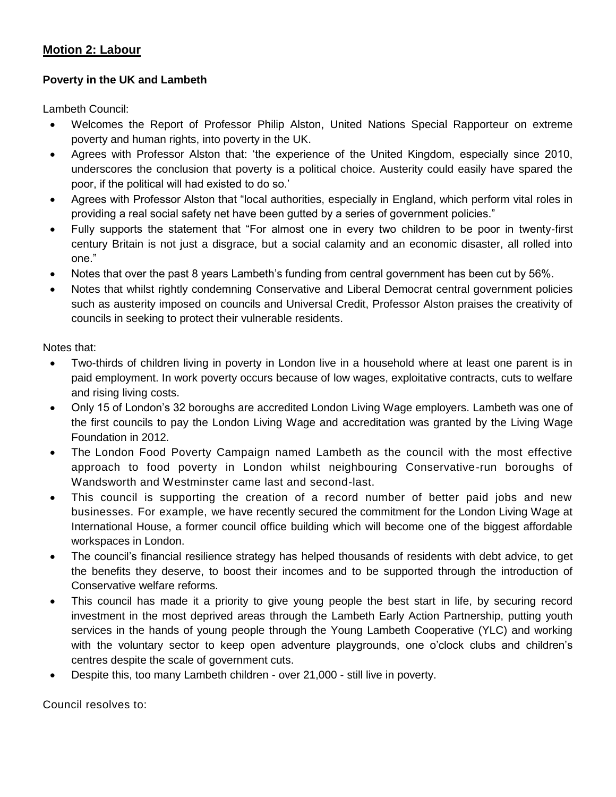## **Motion 2: Labour**

## **Poverty in the UK and Lambeth**

Lambeth Council:

- Welcomes the Report of Professor Philip Alston, United Nations Special Rapporteur on extreme poverty and human rights, into poverty in the UK.
- Agrees with Professor Alston that: 'the experience of the United Kingdom, especially since 2010, underscores the conclusion that poverty is a political choice. Austerity could easily have spared the poor, if the political will had existed to do so.'
- Agrees with Professor Alston that "local authorities, especially in England, which perform vital roles in providing a real social safety net have been gutted by a series of government policies."
- Fully supports the statement that "For almost one in every two children to be poor in twenty-first century Britain is not just a disgrace, but a social calamity and an economic disaster, all rolled into one."
- Notes that over the past 8 years Lambeth's funding from central government has been cut by 56%.
- Notes that whilst rightly condemning Conservative and Liberal Democrat central government policies such as austerity imposed on councils and Universal Credit, Professor Alston praises the creativity of councils in seeking to protect their vulnerable residents.

Notes that:

- Two-thirds of children living in poverty in London live in a household where at least one parent is in paid employment. In work poverty occurs because of low wages, exploitative contracts, cuts to welfare and rising living costs.
- Only 15 of London's 32 boroughs are accredited London Living Wage employers. Lambeth was one of the first councils to pay the London Living Wage and accreditation was granted by the Living Wage Foundation in 2012.
- The London Food Poverty Campaign named Lambeth as the council with the most effective approach to food poverty in London whilst neighbouring Conservative-run boroughs of Wandsworth and Westminster came last and second-last.
- This council is supporting the creation of a record number of better paid jobs and new businesses. For example, we have recently secured the commitment for the London Living Wage at International House, a former council office building which will become one of the biggest affordable workspaces in London.
- The council's financial resilience strategy has helped thousands of residents with debt advice, to get the benefits they deserve, to boost their incomes and to be supported through the introduction of Conservative welfare reforms.
- This council has made it a priority to give young people the best start in life, by securing record investment in the most deprived areas through the Lambeth Early Action Partnership, putting youth services in the hands of young people through the Young Lambeth Cooperative (YLC) and working with the voluntary sector to keep open adventure playgrounds, one o'clock clubs and children's centres despite the scale of government cuts.
- Despite this, too many Lambeth children over 21,000 still live in poverty.

Council resolves to: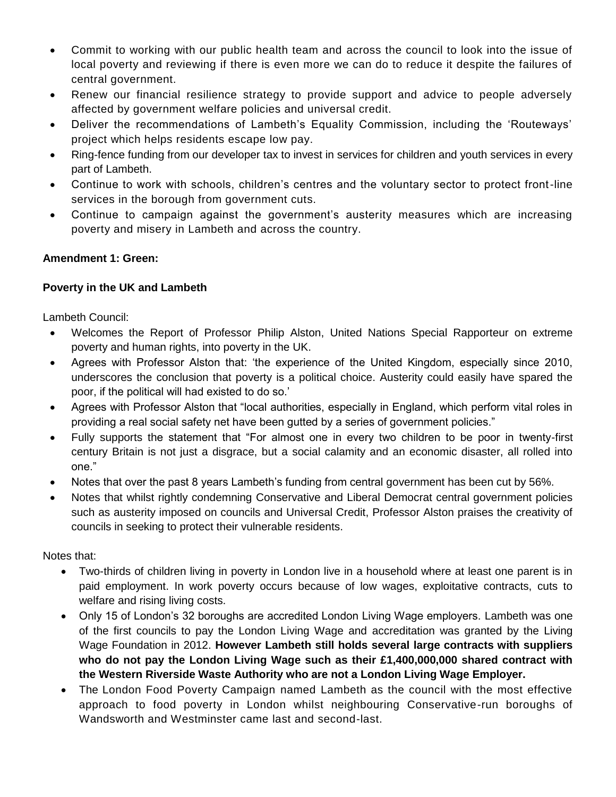- Commit to working with our public health team and across the council to look into the issue of local poverty and reviewing if there is even more we can do to reduce it despite the failures of central government.
- Renew our financial resilience strategy to provide support and advice to people adversely affected by government welfare policies and universal credit.
- Deliver the recommendations of Lambeth's Equality Commission, including the 'Routeways' project which helps residents escape low pay.
- Ring-fence funding from our developer tax to invest in services for children and youth services in every part of Lambeth.
- Continue to work with schools, children's centres and the voluntary sector to protect front-line services in the borough from government cuts.
- Continue to campaign against the government's austerity measures which are increasing poverty and misery in Lambeth and across the country.

## **Amendment 1: Green:**

## **Poverty in the UK and Lambeth**

Lambeth Council:

- Welcomes the Report of Professor Philip Alston, United Nations Special Rapporteur on extreme poverty and human rights, into poverty in the UK.
- Agrees with Professor Alston that: 'the experience of the United Kingdom, especially since 2010, underscores the conclusion that poverty is a political choice. Austerity could easily have spared the poor, if the political will had existed to do so.'
- Agrees with Professor Alston that "local authorities, especially in England, which perform vital roles in providing a real social safety net have been gutted by a series of government policies."
- Fully supports the statement that "For almost one in every two children to be poor in twenty-first century Britain is not just a disgrace, but a social calamity and an economic disaster, all rolled into one."
- Notes that over the past 8 years Lambeth's funding from central government has been cut by 56%.
- Notes that whilst rightly condemning Conservative and Liberal Democrat central government policies such as austerity imposed on councils and Universal Credit, Professor Alston praises the creativity of councils in seeking to protect their vulnerable residents.

Notes that:

- Two-thirds of children living in poverty in London live in a household where at least one parent is in paid employment. In work poverty occurs because of low wages, exploitative contracts, cuts to welfare and rising living costs.
- Only 15 of London's 32 boroughs are accredited London Living Wage employers. Lambeth was one of the first councils to pay the London Living Wage and accreditation was granted by the Living Wage Foundation in 2012. **However Lambeth still holds several large contracts with suppliers who do not pay the London Living Wage such as their £1,400,000,000 shared contract with the Western Riverside Waste Authority who are not a London Living Wage Employer.**
- The London Food Poverty Campaign named Lambeth as the council with the most effective approach to food poverty in London whilst neighbouring Conservative-run boroughs of Wandsworth and Westminster came last and second-last.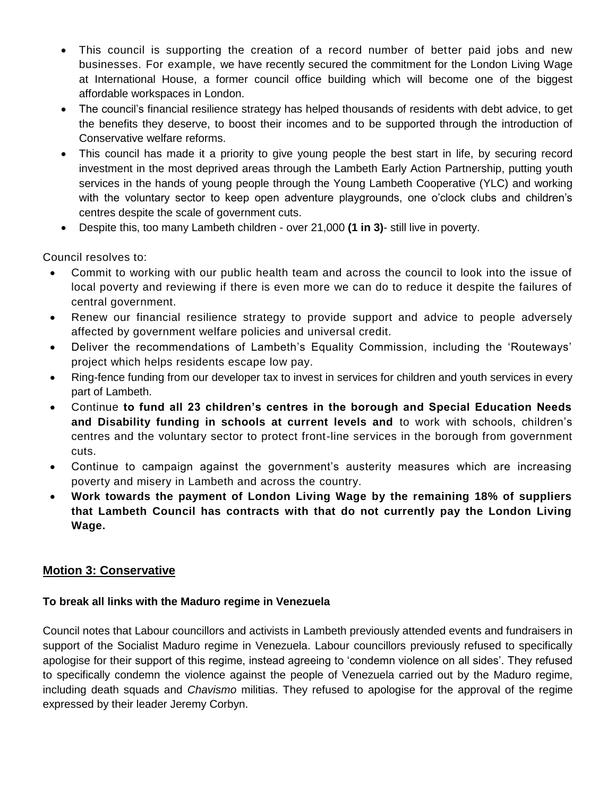- This council is supporting the creation of a record number of better paid jobs and new businesses. For example, we have recently secured the commitment for the London Living Wage at International House, a former council office building which will become one of the biggest affordable workspaces in London.
- The council's financial resilience strategy has helped thousands of residents with debt advice, to get the benefits they deserve, to boost their incomes and to be supported through the introduction of Conservative welfare reforms.
- This council has made it a priority to give young people the best start in life, by securing record investment in the most deprived areas through the Lambeth Early Action Partnership, putting youth services in the hands of young people through the Young Lambeth Cooperative (YLC) and working with the voluntary sector to keep open adventure playgrounds, one o'clock clubs and children's centres despite the scale of government cuts.
- Despite this, too many Lambeth children over 21,000 **(1 in 3)** still live in poverty.

Council resolves to:

- Commit to working with our public health team and across the council to look into the issue of local poverty and reviewing if there is even more we can do to reduce it despite the failures of central government.
- Renew our financial resilience strategy to provide support and advice to people adversely affected by government welfare policies and universal credit.
- Deliver the recommendations of Lambeth's Equality Commission, including the 'Routeways' project which helps residents escape low pay.
- Ring-fence funding from our developer tax to invest in services for children and youth services in every part of Lambeth.
- Continue **to fund all 23 children's centres in the borough and Special Education Needs and Disability funding in schools at current levels and** to work with schools, children's centres and the voluntary sector to protect front-line services in the borough from government cuts.
- Continue to campaign against the government's austerity measures which are increasing poverty and misery in Lambeth and across the country.
- **Work towards the payment of London Living Wage by the remaining 18% of suppliers that Lambeth Council has contracts with that do not currently pay the London Living Wage.**

## **Motion 3: Conservative**

## **To break all links with the Maduro regime in Venezuela**

Council notes that Labour councillors and activists in Lambeth previously attended events and fundraisers in support of the Socialist Maduro regime in Venezuela. Labour councillors previously refused to specifically apologise for their support of this regime, instead agreeing to 'condemn violence on all sides'. They refused to specifically condemn the violence against the people of Venezuela carried out by the Maduro regime, including death squads and *Chavismo* militias. They refused to apologise for the approval of the regime expressed by their leader Jeremy Corbyn.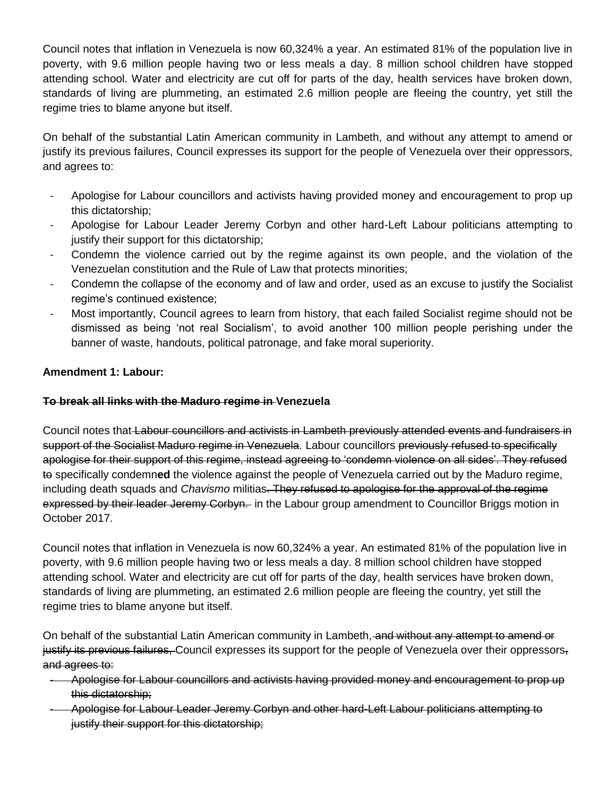Council notes that inflation in Venezuela is now 60,324% a year. An estimated 81% of the population live in poverty, with 9.6 million people having two or less meals a day. 8 million school children have stopped attending school. Water and electricity are cut off for parts of the day, health services have broken down, standards of living are plummeting, an estimated 2.6 million people are fleeing the country, yet still the regime tries to blame anyone but itself.

On behalf of the substantial Latin American community in Lambeth, and without any attempt to amend or justify its previous failures, Council expresses its support for the people of Venezuela over their oppressors, and agrees to:

- Apologise for Labour councillors and activists having provided money and encouragement to prop up this dictatorship;
- Apologise for Labour Leader Jeremy Corbyn and other hard-Left Labour politicians attempting to justify their support for this dictatorship;
- Condemn the violence carried out by the regime against its own people, and the violation of the Venezuelan constitution and the Rule of Law that protects minorities;
- Condemn the collapse of the economy and of law and order, used as an excuse to justify the Socialist regime's continued existence;
- Most importantly, Council agrees to learn from history, that each failed Socialist regime should not be dismissed as being 'not real Socialism', to avoid another 100 million people perishing under the banner of waste, handouts, political patronage, and fake moral superiority.

## **Amendment 1: Labour:**

## **To break all links with the Maduro regime in Venezuela**

Council notes that Labour councillors and activists in Lambeth previously attended events and fundraisers in support of the Socialist Maduro regime in Venezuela. Labour councillors previously refused to specifically apologise for their support of this regime, instead agreeing to 'condemn violence on all sides'. They refused to specifically condemn**ed** the violence against the people of Venezuela carried out by the Maduro regime, including death squads and *Chavismo* militias. They refused to apologise for the approval of the regime expressed by their leader Jeremy Corbyn. in the Labour group amendment to Councillor Briggs motion in October 2017.

Council notes that inflation in Venezuela is now 60,324% a year. An estimated 81% of the population live in poverty, with 9.6 million people having two or less meals a day. 8 million school children have stopped attending school. Water and electricity are cut off for parts of the day, health services have broken down, standards of living are plummeting, an estimated 2.6 million people are fleeing the country, yet still the regime tries to blame anyone but itself.

On behalf of the substantial Latin American community in Lambeth, and without any attempt to amend or justify its previous failures, Council expresses its support for the people of Venezuela over their oppressors, and agrees to:

- Apologise for Labour councillors and activists having provided money and encouragement to prop up this dictatorship;
- Apologise for Labour Leader Jeremy Corbyn and other hard-Left Labour politicians attempting to justify their support for this dictatorship;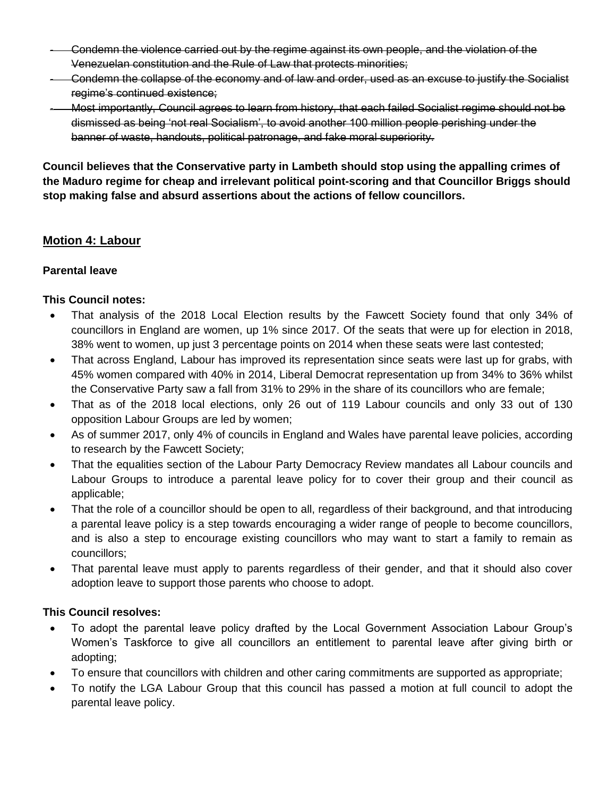- Condemn the violence carried out by the regime against its own people, and the violation of the Venezuelan constitution and the Rule of Law that protects minorities;
- Condemn the collapse of the economy and of law and order, used as an excuse to justify the Socialist regime's continued existence;
- Most importantly, Council agrees to learn from history, that each failed Socialist regime should not be dismissed as being 'not real Socialism', to avoid another 100 million people perishing under the banner of waste, handouts, political patronage, and fake moral superiority.

**Council believes that the Conservative party in Lambeth should stop using the appalling crimes of the Maduro regime for cheap and irrelevant political point-scoring and that Councillor Briggs should stop making false and absurd assertions about the actions of fellow councillors.**

## **Motion 4: Labour**

## **Parental leave**

## **This Council notes:**

- That analysis of the 2018 Local Election results by the Fawcett Society found that only 34% of councillors in England are women, up 1% since 2017. Of the seats that were up for election in 2018, 38% went to women, up just 3 percentage points on 2014 when these seats were last contested;
- That across England, Labour has improved its representation since seats were last up for grabs, with 45% women compared with 40% in 2014, Liberal Democrat representation up from 34% to 36% whilst the Conservative Party saw a fall from 31% to 29% in the share of its councillors who are female;
- That as of the 2018 local elections, only 26 out of 119 Labour councils and only 33 out of 130 opposition Labour Groups are led by women;
- As of summer 2017, only 4% of councils in England and Wales have parental leave policies, according to research by the Fawcett Society;
- That the equalities section of the Labour Party Democracy Review mandates all Labour councils and Labour Groups to introduce a parental leave policy for to cover their group and their council as applicable;
- That the role of a councillor should be open to all, regardless of their background, and that introducing a parental leave policy is a step towards encouraging a wider range of people to become councillors, and is also a step to encourage existing councillors who may want to start a family to remain as councillors;
- That parental leave must apply to parents regardless of their gender, and that it should also cover adoption leave to support those parents who choose to adopt.

## **This Council resolves:**

- To adopt the parental leave policy drafted by the Local Government Association Labour Group's Women's Taskforce to give all councillors an entitlement to parental leave after giving birth or adopting;
- To ensure that councillors with children and other caring commitments are supported as appropriate;
- To notify the LGA Labour Group that this council has passed a motion at full council to adopt the parental leave policy.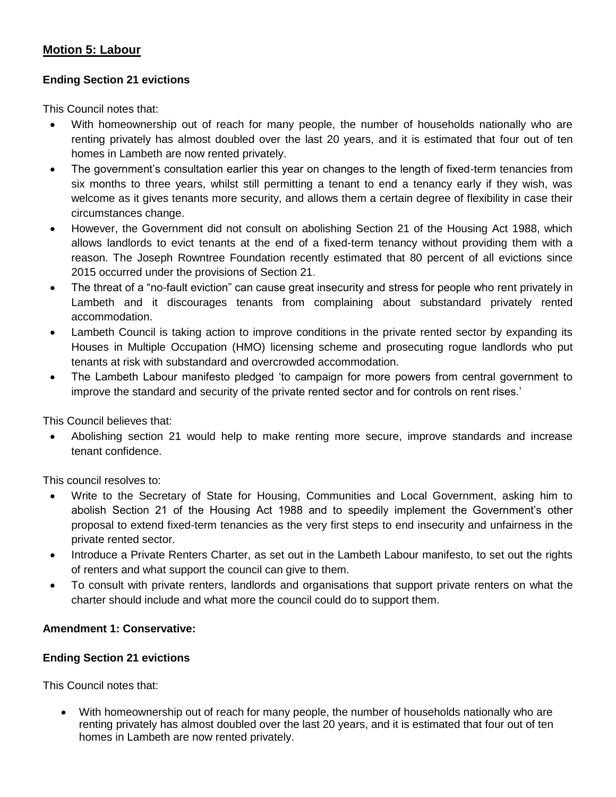## **Motion 5: Labour**

#### **Ending Section 21 evictions**

This Council notes that:

- With homeownership out of reach for many people, the number of households nationally who are renting privately has almost doubled over the last 20 years, and it is estimated that four out of ten homes in Lambeth are now rented privately.
- The government's consultation earlier this year on changes to the length of fixed-term tenancies from six months to three years, whilst still permitting a tenant to end a tenancy early if they wish, was welcome as it gives tenants more security, and allows them a certain degree of flexibility in case their circumstances change.
- However, the Government did not consult on abolishing Section 21 of the Housing Act 1988, which allows landlords to evict tenants at the end of a fixed-term tenancy without providing them with a reason. The Joseph Rowntree Foundation recently estimated that 80 percent of all evictions since 2015 occurred under the provisions of Section 21.
- The threat of a "no-fault eviction" can cause great insecurity and stress for people who rent privately in Lambeth and it discourages tenants from complaining about substandard privately rented accommodation.
- Lambeth Council is taking action to improve conditions in the private rented sector by expanding its Houses in Multiple Occupation (HMO) licensing scheme and prosecuting rogue landlords who put tenants at risk with substandard and overcrowded accommodation.
- The Lambeth Labour manifesto pledged 'to campaign for more powers from central government to improve the standard and security of the private rented sector and for controls on rent rises.'

This Council believes that:

 Abolishing section 21 would help to make renting more secure, improve standards and increase tenant confidence.

This council resolves to:

- Write to the Secretary of State for Housing, Communities and Local Government, asking him to abolish Section 21 of the Housing Act 1988 and to speedily implement the Government's other proposal to extend fixed-term tenancies as the very first steps to end insecurity and unfairness in the private rented sector.
- Introduce a Private Renters Charter, as set out in the Lambeth Labour manifesto, to set out the rights of renters and what support the council can give to them.
- To consult with private renters, landlords and organisations that support private renters on what the charter should include and what more the council could do to support them.

## **Amendment 1: Conservative:**

#### **Ending Section 21 evictions**

This Council notes that:

 With homeownership out of reach for many people, the number of households nationally who are renting privately has almost doubled over the last 20 years, and it is estimated that four out of ten homes in Lambeth are now rented privately.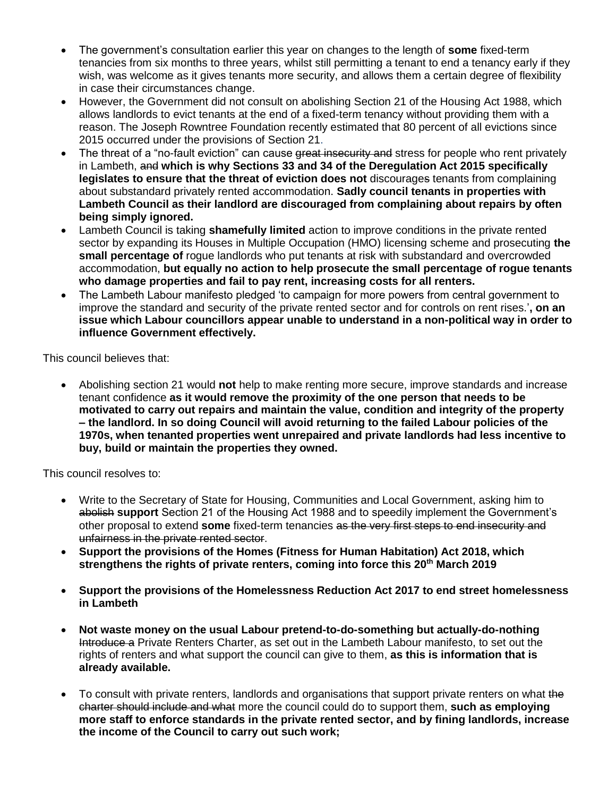- The government's consultation earlier this year on changes to the length of **some** fixed-term tenancies from six months to three years, whilst still permitting a tenant to end a tenancy early if they wish, was welcome as it gives tenants more security, and allows them a certain degree of flexibility in case their circumstances change.
- However, the Government did not consult on abolishing Section 21 of the Housing Act 1988, which allows landlords to evict tenants at the end of a fixed-term tenancy without providing them with a reason. The Joseph Rowntree Foundation recently estimated that 80 percent of all evictions since 2015 occurred under the provisions of Section 21.
- The threat of a "no-fault eviction" can cause great insecurity and stress for people who rent privately in Lambeth, and **which is why Sections 33 and 34 of the Deregulation Act 2015 specifically legislates to ensure that the threat of eviction does not** discourages tenants from complaining about substandard privately rented accommodation. **Sadly council tenants in properties with Lambeth Council as their landlord are discouraged from complaining about repairs by often being simply ignored.**
- Lambeth Council is taking **shamefully limited** action to improve conditions in the private rented sector by expanding its Houses in Multiple Occupation (HMO) licensing scheme and prosecuting **the small percentage of** rogue landlords who put tenants at risk with substandard and overcrowded accommodation, **but equally no action to help prosecute the small percentage of rogue tenants who damage properties and fail to pay rent, increasing costs for all renters.**
- The Lambeth Labour manifesto pledged 'to campaign for more powers from central government to improve the standard and security of the private rented sector and for controls on rent rises.'**, on an issue which Labour councillors appear unable to understand in a non-political way in order to influence Government effectively.**

This council believes that:

 Abolishing section 21 would **not** help to make renting more secure, improve standards and increase tenant confidence **as it would remove the proximity of the one person that needs to be motivated to carry out repairs and maintain the value, condition and integrity of the property – the landlord. In so doing Council will avoid returning to the failed Labour policies of the 1970s, when tenanted properties went unrepaired and private landlords had less incentive to buy, build or maintain the properties they owned.**

This council resolves to:

- Write to the Secretary of State for Housing, Communities and Local Government, asking him to abolish **support** Section 21 of the Housing Act 1988 and to speedily implement the Government's other proposal to extend **some** fixed-term tenancies as the very first steps to end insecurity and unfairness in the private rented sector.
- **Support the provisions of the Homes (Fitness for Human Habitation) Act 2018, which strengthens the rights of private renters, coming into force this 20th March 2019**
- **Support the provisions of the Homelessness Reduction Act 2017 to end street homelessness in Lambeth**
- **Not waste money on the usual Labour pretend-to-do-something but actually-do-nothing** Introduce a Private Renters Charter, as set out in the Lambeth Labour manifesto, to set out the rights of renters and what support the council can give to them, **as this is information that is already available.**
- To consult with private renters, landlords and organisations that support private renters on what the charter should include and what more the council could do to support them, **such as employing more staff to enforce standards in the private rented sector, and by fining landlords, increase the income of the Council to carry out such work;**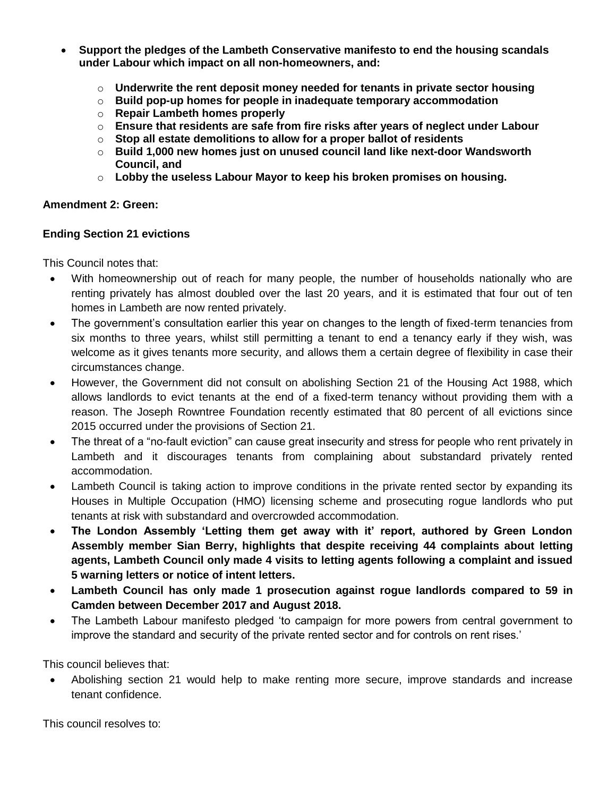- **Support the pledges of the Lambeth Conservative manifesto to end the housing scandals under Labour which impact on all non-homeowners, and:**
	- o **Underwrite the rent deposit money needed for tenants in private sector housing**
	- o **Build pop-up homes for people in inadequate temporary accommodation**
	- o **Repair Lambeth homes properly**
	- o **Ensure that residents are safe from fire risks after years of neglect under Labour**
	- o **Stop all estate demolitions to allow for a proper ballot of residents**
	- o **Build 1,000 new homes just on unused council land like next-door Wandsworth Council, and**
	- o **Lobby the useless Labour Mayor to keep his broken promises on housing.**

#### **Amendment 2: Green:**

#### **Ending Section 21 evictions**

This Council notes that:

- With homeownership out of reach for many people, the number of households nationally who are renting privately has almost doubled over the last 20 years, and it is estimated that four out of ten homes in Lambeth are now rented privately.
- The government's consultation earlier this year on changes to the length of fixed-term tenancies from six months to three years, whilst still permitting a tenant to end a tenancy early if they wish, was welcome as it gives tenants more security, and allows them a certain degree of flexibility in case their circumstances change.
- However, the Government did not consult on abolishing Section 21 of the Housing Act 1988, which allows landlords to evict tenants at the end of a fixed-term tenancy without providing them with a reason. The Joseph Rowntree Foundation recently estimated that 80 percent of all evictions since 2015 occurred under the provisions of Section 21.
- The threat of a "no-fault eviction" can cause great insecurity and stress for people who rent privately in Lambeth and it discourages tenants from complaining about substandard privately rented accommodation.
- Lambeth Council is taking action to improve conditions in the private rented sector by expanding its Houses in Multiple Occupation (HMO) licensing scheme and prosecuting rogue landlords who put tenants at risk with substandard and overcrowded accommodation.
- **The London Assembly 'Letting them get away with it' report, authored by Green London Assembly member Sian Berry, highlights that despite receiving 44 complaints about letting agents, Lambeth Council only made 4 visits to letting agents following a complaint and issued 5 warning letters or notice of intent letters.**
- **Lambeth Council has only made 1 prosecution against rogue landlords compared to 59 in Camden between December 2017 and August 2018.**
- The Lambeth Labour manifesto pledged 'to campaign for more powers from central government to improve the standard and security of the private rented sector and for controls on rent rises.'

This council believes that:

 Abolishing section 21 would help to make renting more secure, improve standards and increase tenant confidence.

This council resolves to: